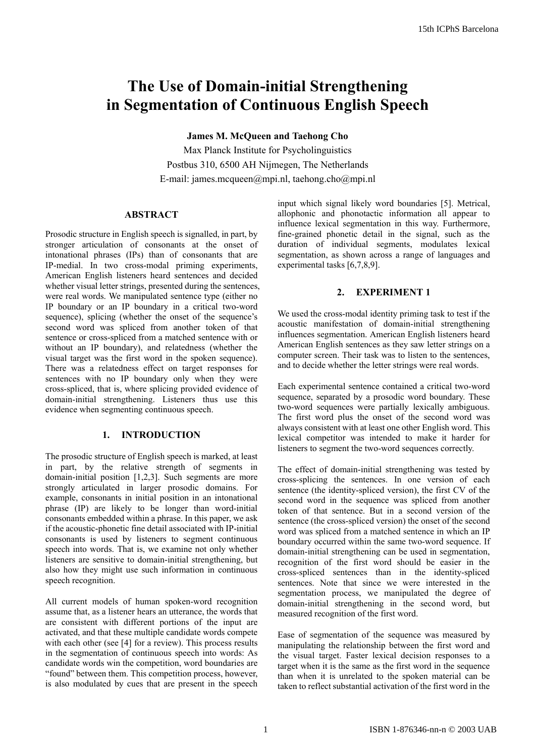# **The Use of Domain-initial Strengthening in Segmentation of Continuous English Speech**

**James M. McQueen and Taehong Cho** 

Max Planck Institute for Psycholinguistics Postbus 310, 6500 AH Nijmegen, The Netherlands E-mail: james.mcqueen@mpi.nl, taehong.cho@mpi.nl

# **ABSTRACT**

Prosodic structure in English speech is signalled, in part, by stronger articulation of consonants at the onset of intonational phrases (IPs) than of consonants that are IP-medial. In two cross-modal priming experiments, American English listeners heard sentences and decided whether visual letter strings, presented during the sentences, were real words. We manipulated sentence type (either no IP boundary or an IP boundary in a critical two-word sequence), splicing (whether the onset of the sequence's second word was spliced from another token of that sentence or cross-spliced from a matched sentence with or without an IP boundary), and relatedness (whether the visual target was the first word in the spoken sequence). There was a relatedness effect on target responses for sentences with no IP boundary only when they were cross-spliced, that is, where splicing provided evidence of domain-initial strengthening. Listeners thus use this evidence when segmenting continuous speech.

# **1. INTRODUCTION**

The prosodic structure of English speech is marked, at least in part, by the relative strength of segments in domain-initial position [1,2,3]. Such segments are more strongly articulated in larger prosodic domains. For example, consonants in initial position in an intonational phrase (IP) are likely to be longer than word-initial consonants embedded within a phrase. In this paper, we ask if the acoustic-phonetic fine detail associated with IP-initial consonants is used by listeners to segment continuous speech into words. That is, we examine not only whether listeners are sensitive to domain-initial strengthening, but also how they might use such information in continuous speech recognition.

All current models of human spoken-word recognition assume that, as a listener hears an utterance, the words that are consistent with different portions of the input are activated, and that these multiple candidate words compete with each other (see [4] for a review). This process results in the segmentation of continuous speech into words: As candidate words win the competition, word boundaries are "found" between them. This competition process, however, is also modulated by cues that are present in the speech

input which signal likely word boundaries [5]. Metrical, allophonic and phonotactic information all appear to influence lexical segmentation in this way. Furthermore, fine-grained phonetic detail in the signal, such as the duration of individual segments, modulates lexical segmentation, as shown across a range of languages and experimental tasks [6,7,8,9].

# **2. EXPERIMENT 1**

We used the cross-modal identity priming task to test if the acoustic manifestation of domain-initial strengthening influences segmentation. American English listeners heard American English sentences as they saw letter strings on a computer screen. Their task was to listen to the sentences, and to decide whether the letter strings were real words.

Each experimental sentence contained a critical two-word sequence, separated by a prosodic word boundary. These two-word sequences were partially lexically ambiguous. The first word plus the onset of the second word was always consistent with at least one other English word. This lexical competitor was intended to make it harder for listeners to segment the two-word sequences correctly.

The effect of domain-initial strengthening was tested by cross-splicing the sentences. In one version of each sentence (the identity-spliced version), the first CV of the second word in the sequence was spliced from another token of that sentence. But in a second version of the sentence (the cross-spliced version) the onset of the second word was spliced from a matched sentence in which an IP boundary occurred within the same two-word sequence. If domain-initial strengthening can be used in segmentation, recognition of the first word should be easier in the cross-spliced sentences than in the identity-spliced sentences. Note that since we were interested in the segmentation process, we manipulated the degree of domain-initial strengthening in the second word, but measured recognition of the first word.

Ease of segmentation of the sequence was measured by manipulating the relationship between the first word and the visual target. Faster lexical decision responses to a target when it is the same as the first word in the sequence than when it is unrelated to the spoken material can be taken to reflect substantial activation of the first word in the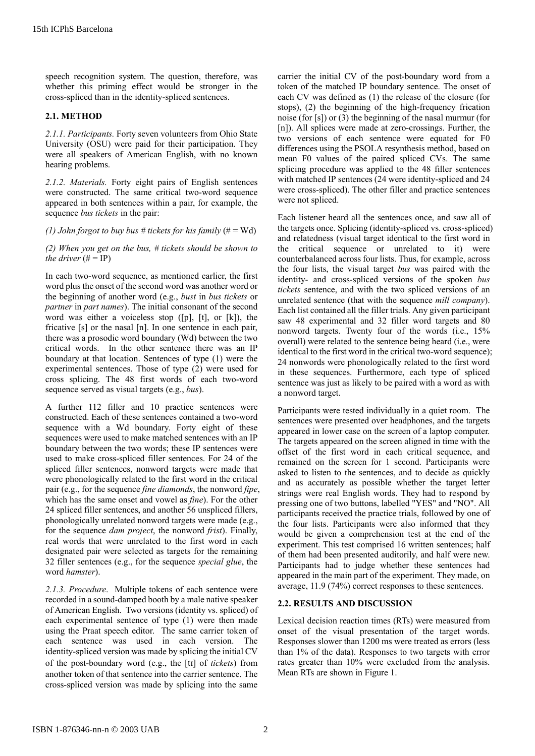speech recognition system. The question, therefore, was whether this priming effect would be stronger in the cross-spliced than in the identity-spliced sentences.

#### **2.1. METHOD**

*2.1.1. Participants.* Forty seven volunteers from Ohio State University (OSU) were paid for their participation. They were all speakers of American English, with no known hearing problems.

*2.1.2. Materials.* Forty eight pairs of English sentences were constructed. The same critical two-word sequence appeared in both sentences within a pair, for example, the sequence *bus tickets* in the pair:

*(1) John forgot to buy bus # tickets for his family*  $(\# = Wd)$ 

*(2) When you get on the bus, # tickets should be shown to the driver*  $(\# = IP)$ 

In each two-word sequence, as mentioned earlier, the first word plus the onset of the second word was another word or the beginning of another word (e.g., *bust* in *bus tickets* or *partner* in *part names*). The initial consonant of the second word was either a voiceless stop ([p], [t], or [k]), the fricative [s] or the nasal [n]. In one sentence in each pair, there was a prosodic word boundary (Wd) between the two critical words. In the other sentence there was an IP boundary at that location. Sentences of type (1) were the experimental sentences. Those of type (2) were used for cross splicing. The 48 first words of each two-word sequence served as visual targets (e.g., *bus*).

A further 112 filler and 10 practice sentences were constructed. Each of these sentences contained a two-word sequence with a Wd boundary. Forty eight of these sequences were used to make matched sentences with an IP boundary between the two words; these IP sentences were used to make cross-spliced filler sentences. For 24 of the spliced filler sentences, nonword targets were made that were phonologically related to the first word in the critical pair (e.g., for the sequence *fine diamonds*, the nonword *fipe*, which has the same onset and vowel as *fine*). For the other 24 spliced filler sentences, and another 56 unspliced fillers, phonologically unrelated nonword targets were made (e.g., for the sequence *dam project*, the nonword *frist*). Finally, real words that were unrelated to the first word in each designated pair were selected as targets for the remaining 32 filler sentences (e.g., for the sequence *special glue*, the word *hamster*).

*2.1.3. Procedure*. Multiple tokens of each sentence were recorded in a sound-damped booth by a male native speaker of American English. Two versions (identity vs. spliced) of each experimental sentence of type (1) were then made using the Praat speech editor. The same carrier token of each sentence was used in each version. The identity-spliced version was made by splicing the initial CV of the post-boundary word (e.g., the [t] of *tickets*) from another token of that sentence into the carrier sentence. The cross-spliced version was made by splicing into the same

carrier the initial CV of the post-boundary word from a token of the matched IP boundary sentence. The onset of each CV was defined as (1) the release of the closure (for stops), (2) the beginning of the high-frequency frication noise (for [s]) or (3) the beginning of the nasal murmur (for [n]). All splices were made at zero-crossings. Further, the two versions of each sentence were equated for F0 differences using the PSOLA resynthesis method, based on mean F0 values of the paired spliced CVs. The same splicing procedure was applied to the 48 filler sentences with matched IP sentences (24 were identity-spliced and 24 were cross-spliced). The other filler and practice sentences were not spliced.

Each listener heard all the sentences once, and saw all of the targets once. Splicing (identity-spliced vs. cross-spliced) and relatedness (visual target identical to the first word in the critical sequence or unrelated to it) were counterbalanced across four lists. Thus, for example, across the four lists, the visual target *bus* was paired with the identity- and cross-spliced versions of the spoken *bus tickets* sentence, and with the two spliced versions of an unrelated sentence (that with the sequence *mill company*). Each list contained all the filler trials. Any given participant saw 48 experimental and 32 filler word targets and 80 nonword targets. Twenty four of the words (i.e., 15% overall) were related to the sentence being heard (i.e., were identical to the first word in the critical two-word sequence); 24 nonwords were phonologically related to the first word in these sequences. Furthermore, each type of spliced sentence was just as likely to be paired with a word as with a nonword target.

Participants were tested individually in a quiet room. The sentences were presented over headphones, and the targets appeared in lower case on the screen of a laptop computer. The targets appeared on the screen aligned in time with the offset of the first word in each critical sequence, and remained on the screen for 1 second. Participants were asked to listen to the sentences, and to decide as quickly and as accurately as possible whether the target letter strings were real English words. They had to respond by pressing one of two buttons, labelled "YES" and "NO". All participants received the practice trials, followed by one of the four lists. Participants were also informed that they would be given a comprehension test at the end of the experiment. This test comprised 16 written sentences; half of them had been presented auditorily, and half were new. Participants had to judge whether these sentences had appeared in the main part of the experiment. They made, on average, 11.9 (74%) correct responses to these sentences.

## **2.2. RESULTS AND DISCUSSION**

Lexical decision reaction times (RTs) were measured from onset of the visual presentation of the target words. Responses slower than 1200 ms were treated as errors (less than 1% of the data). Responses to two targets with error rates greater than 10% were excluded from the analysis. Mean RTs are shown in Figure 1.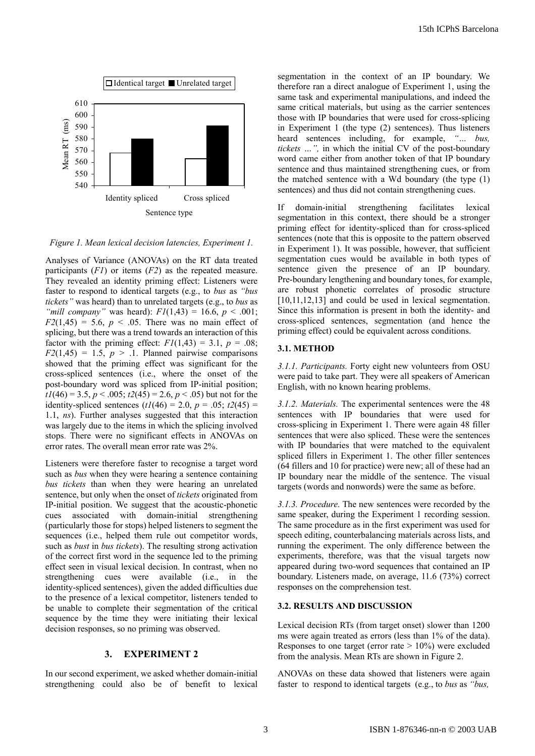

*Figure 1. Mean lexical decision latencies, Experiment 1.*

Analyses of Variance (ANOVAs) on the RT data treated participants (*F1*) or items (*F2*) as the repeated measure. They revealed an identity priming effect: Listeners were faster to respond to identical targets (e.g., to *bus* as *"bus tickets"* was heard) than to unrelated targets (e.g., to *bus* as *"mill company"* was heard): *F1*(1,43) = 16.6, *p* < .001;  $F2(1,45) = 5.6$ ,  $p < .05$ . There was no main effect of splicing, but there was a trend towards an interaction of this factor with the priming effect:  $F1(1,43) = 3.1$ ,  $p = .08$ ;  $F2(1,45) = 1.5, p > 1.$  Planned pairwise comparisons showed that the priming effect was significant for the cross-spliced sentences (i.e., where the onset of the post-boundary word was spliced from IP-initial position; *t1*(46) = 3.5, *p* < .005; *t2*(45) = 2.6, *p* < .05) but not for the identity-spliced sentences  $(t/(46) = 2.0, p = .05; t/(45) =$ 1.1, *ns*). Further analyses suggested that this interaction was largely due to the items in which the splicing involved stops. There were no significant effects in ANOVAs on error rates. The overall mean error rate was 2%.

Listeners were therefore faster to recognise a target word such as *bus* when they were hearing a sentence containing *bus tickets* than when they were hearing an unrelated sentence, but only when the onset of *tickets* originated from IP-initial position. We suggest that the acoustic-phonetic cues associated with domain-initial strengthening (particularly those for stops) helped listeners to segment the sequences (i.e., helped them rule out competitor words, such as *bust* in *bus tickets*). The resulting strong activation of the correct first word in the sequence led to the priming effect seen in visual lexical decision. In contrast, when no strengthening cues were available (i.e., in the identity-spliced sentences), given the added difficulties due to the presence of a lexical competitor, listeners tended to be unable to complete their segmentation of the critical sequence by the time they were initiating their lexical decision responses, so no priming was observed.

## **3. EXPERIMENT 2**

In our second experiment, we asked whether domain-initial strengthening could also be of benefit to lexical segmentation in the context of an IP boundary. We therefore ran a direct analogue of Experiment 1, using the same task and experimental manipulations, and indeed the same critical materials, but using as the carrier sentences those with IP boundaries that were used for cross-splicing in Experiment 1 (the type (2) sentences). Thus listeners heard sentences including, for example, *"… bus, tickets …",* in which the initial CV of the post-boundary word came either from another token of that IP boundary sentence and thus maintained strengthening cues, or from the matched sentence with a Wd boundary (the type (1) sentences) and thus did not contain strengthening cues.

If domain-initial strengthening facilitates lexical segmentation in this context, there should be a stronger priming effect for identity-spliced than for cross-spliced sentences (note that this is opposite to the pattern observed in Experiment 1). It was possible, however, that sufficient segmentation cues would be available in both types of sentence given the presence of an IP boundary. Pre-boundary lengthening and boundary tones, for example, are robust phonetic correlates of prosodic structure [10,11,12,13] and could be used in lexical segmentation. Since this information is present in both the identity- and cross-spliced sentences, segmentation (and hence the priming effect) could be equivalent across conditions.

#### **3.1. METHOD**

*3.1.1. Participants.* Forty eight new volunteers from OSU were paid to take part. They were all speakers of American English, with no known hearing problems.

*3.1.2. Materials.* The experimental sentences were the 48 sentences with IP boundaries that were used for cross-splicing in Experiment 1. There were again 48 filler sentences that were also spliced. These were the sentences with IP boundaries that were matched to the equivalent spliced fillers in Experiment 1. The other filler sentences (64 fillers and 10 for practice) were new; all of these had an IP boundary near the middle of the sentence. The visual targets (words and nonwords) were the same as before.

*3.1.3. Procedure*. The new sentences were recorded by the same speaker, during the Experiment 1 recording session. The same procedure as in the first experiment was used for speech editing, counterbalancing materials across lists, and running the experiment. The only difference between the experiments, therefore, was that the visual targets now appeared during two-word sequences that contained an IP boundary. Listeners made, on average, 11.6 (73%) correct responses on the comprehension test.

### **3.2. RESULTS AND DISCUSSION**

Lexical decision RTs (from target onset) slower than 1200 ms were again treated as errors (less than 1% of the data). Responses to one target (error rate  $> 10\%$ ) were excluded from the analysis. Mean RTs are shown in Figure 2.

ANOVAs on these data showed that listeners were again faster to respond to identical targets (e.g., to *bus* as *"bus,*